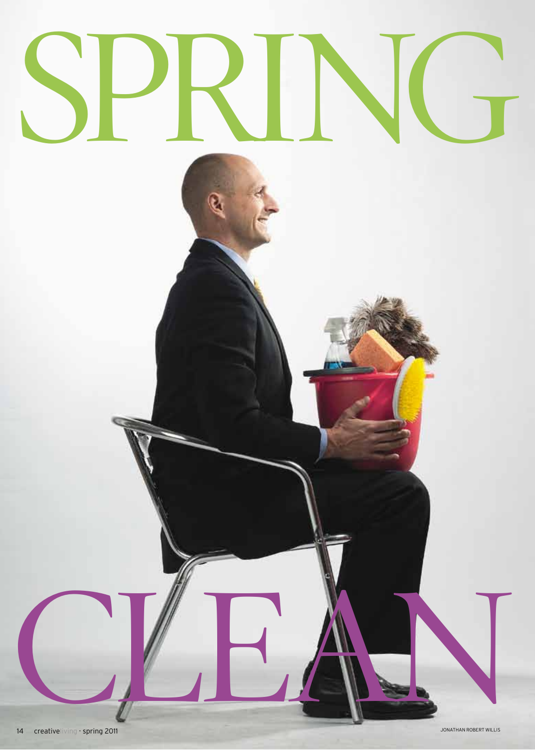###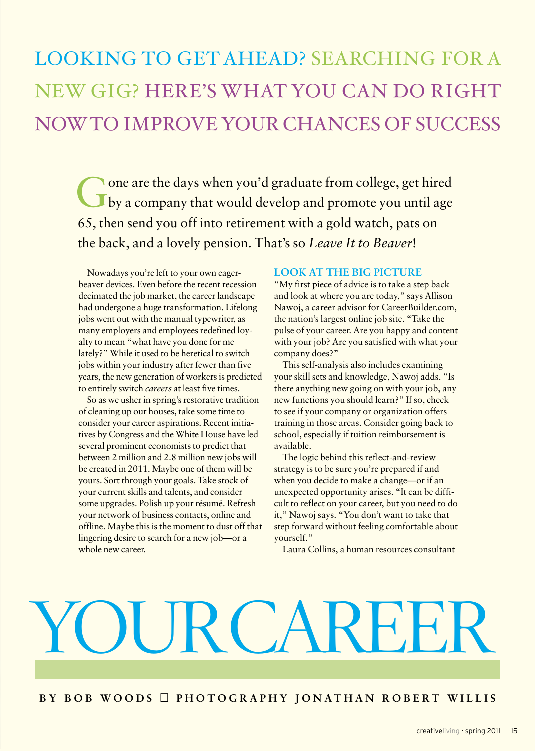### LOOKING TO GET AHEAD? SEARCHING FOR A NEW GIG? HERE'S WHAT YOU CAN DO RIGHT NOWTO IMPROVEYOUR CHANCES OF SUCCESS

Gone are the days when you'd graduate from college, get hired by a company that would develop and promote you until age 65, then send you off into retirement with a gold watch, pats on the back, and a lovely pension. That's so *Leave It to Beaver*!

Nowadays you're left to your own eagerbeaver devices. Even before the recent recession decimated the job market, the career landscape had undergone a huge transformation. Lifelong jobs went out with the manual typewriter, as many employers and employees redefined loyalty to mean "what have you done for me lately?" While it used to be heretical to switch jobs within your industry after fewer than five years, the new generation of workersis predicted to entirely switch *careers* at least five times.

So as we usher in spring's restorative tradition of cleaning up our houses, take some time to consider your career aspirations. Recent initiatives by Congress and the White House have led several prominent economists to predict that between 2 million and 2.8 million new jobs will be created in 2011. Maybe one of them will be yours. Sort through your goals. Take stock of your current skills and talents, and consider some upgrades. Polish up your résumé. Refresh your network of business contacts, online and offline. Maybe this is the moment to dust off that lingering desire to search for a new job—or a whole new career.

### **LOOK AT THE BIG PICTURE**

"My first piece of advice is to take a step back and look at where you are today," says Allison Nawoj, a career advisor for CareerBuilder.com, the nation's largest online job site. "Take the pulse of your career. Are you happy and content with your job? Are you satisfied with what your company does?"

This self-analysis also includes examining your skill sets and knowledge, Nawoj adds. "Is there anything new going on with your job, any new functions you should learn?" If so, check to see if your company or organization offers training in those areas. Consider going back to school, especially if tuition reimbursement is available.

The logic behind this reflect-and-review strategy is to be sure you're prepared if and when you decide to make a change—or if an unexpected opportunity arises. "It can be difficult to reflect on your career, but you need to do it," Nawoj says. "You don't want to take that step forward without feeling comfortable about yourself."

Laura Collins, a human resources consultant

## $RCA$

### BY BOB WOODS PHOTOGRAPHY JONATHAN ROBERT WILLIS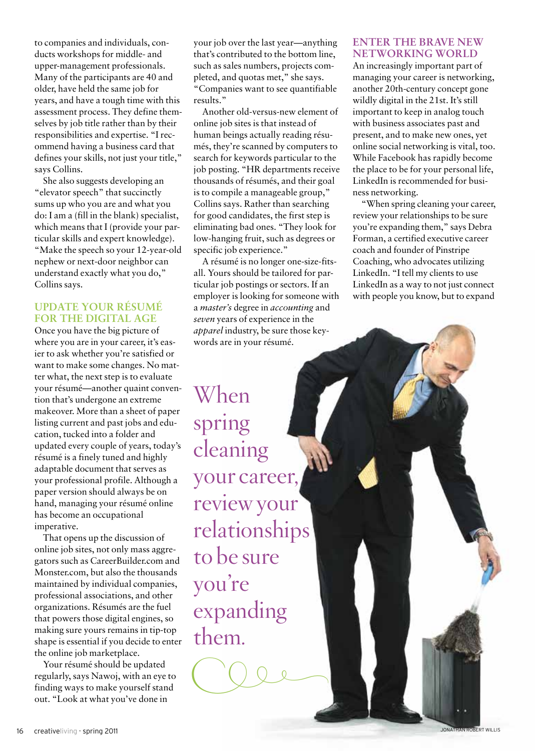to companies and individuals, conducts workshops for middle- and upper-management professionals. Many of the participants are 40 and older, have held the same job for years, and have a tough time with this assessment process. They define themselves by job title rather than by their responsibilities and expertise. "I recommend having a business card that defines your skills, not just your title," says Collins.

She also suggests developing an "elevator speech" that succinctly sums up who you are and what you do: I am a (fill in the blank) specialist, which means that I (provide your particular skills and expert knowledge). "Make the speech so your 12-year-old nephew or next-door neighbor can understand exactly what you do," Collins says.

### **UPDATE YOUR RÉSUMÉ FOR THE DIGITAL AGE**

Once you have the big picture of where you are in your career, it's easier to ask whether you're satisfied or want to make some changes. No matter what, the next step is to evaluate your résumé—another quaint convention that's undergone an extreme makeover. More than a sheet of paper listing current and past jobs and education, tucked into a folder and updated every couple of years, today's résumé is a finely tuned and highly adaptable document that serves as your professional profile. Although a paper version should always be on hand, managing your résumé online has become an occupational imperative.

That opens up the discussion of online job sites, not only mass aggregators such as CareerBuilder.com and Monster.com, but also the thousands maintained by individual companies, professional associations, and other organizations. Résumés are the fuel that powers those digital engines, so making sure yours remains in tip-top shape is essential if you decide to enter the online job marketplace.

Your résumé should be updated regularly, says Nawoj, with an eye to finding ways to make yourself stand out. "Look at what you've done in

your job over the last year—anything that's contributed to the bottom line, such as sales numbers, projects completed, and quotas met," she says. "Companies want to see quantifiable results."

Another old-versus-new element of online job sites is that instead of human beings actually reading résumés, they're scanned by computers to search for keywords particular to the job posting. "HR departments receive thousands of résumés, and their goal is to compile a manageable group," Collins says. Rather than searching for good candidates, the first step is eliminating bad ones. "They look for low-hanging fruit, such as degrees or specific job experience."

A résumé is no longer one-size-fitsall. Yours should be tailored for particular job postings or sectors. If an employer is looking for someone with a *master's* degree in *accounting* and *seven* years of experience in the *apparel* industry, be sure those keywords are in your résumé.

When spring cleaning your career, review your relationships to be sure you're expanding them.

 $CDP$ 

### **ENTER THE BRAVE NEW NETWORKING WORLD**

An increasingly important part of managing your career is networking, another 20th-century concept gone wildly digital in the 21st. It's still important to keep in analog touch with business associates past and present, and to make new ones, yet online social networking is vital, too. While Facebook has rapidly become the place to be for your personal life, LinkedIn is recommended for business networking.

"When spring cleaning your career, review your relationships to be sure you're expanding them," says Debra Forman, a certified executive career coach and founder of Pinstripe Coaching, who advocates utilizing LinkedIn. "I tell my clients to use LinkedIn as a way to not just connect with people you know, but to expand